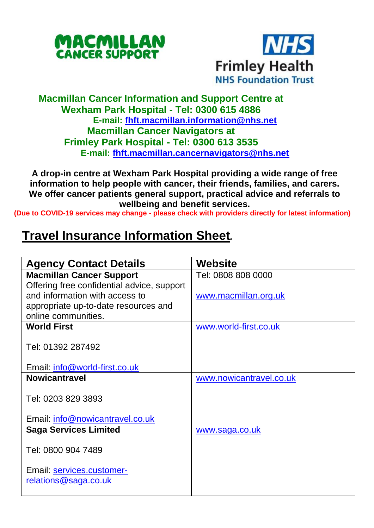



## **Macmillan Cancer Information and Support Centre at Wexham Park Hospital - Tel: 0300 615 4886 E-mail: [fhft.macmillan.information@nhs.net](mailto:fhft.macmillan.information@nhs.net) Macmillan Cancer Navigators at Frimley Park Hospital - Tel: 0300 613 3535 E-mail: [fhft.macmillan.cancernavigators@nhs.net](mailto:fhft.macmillan.cancernavigators@nhs.net)**

**A drop-in centre at Wexham Park Hospital providing a wide range of free information to help people with cancer, their friends, families, and carers. We offer cancer patients general support, practical advice and referrals to wellbeing and benefit services.**

**(Due to COVID-19 services may change - please check with providers directly for latest information)**

## **Travel Insurance Information Sheet***.*

| <b>Agency Contact Details</b>                     | Website                 |
|---------------------------------------------------|-------------------------|
| <b>Macmillan Cancer Support</b>                   | Tel: 0808 808 0000      |
| Offering free confidential advice, support        |                         |
| and information with access to                    | www.macmillan.org.uk    |
| appropriate up-to-date resources and              |                         |
| online communities.                               |                         |
| <b>World First</b>                                | www.world-first.co.uk   |
| Tel: 01392 287492                                 |                         |
| Email: info@world-first.co.uk                     |                         |
| <b>Nowicantravel</b>                              | www.nowicantravel.co.uk |
| Tel: 0203 829 3893                                |                         |
| Email: info@nowicantravel.co.uk                   |                         |
| <b>Saga Services Limited</b>                      | www.saga.co.uk          |
| Tel: 0800 904 7489                                |                         |
| Email: services.customer-<br>relations@saga.co.uk |                         |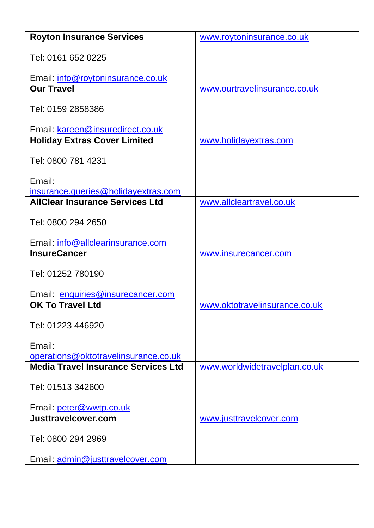| <b>Royton Insurance Services</b>                      | www.roytoninsurance.co.uk     |  |
|-------------------------------------------------------|-------------------------------|--|
| Tel: 0161 652 0225                                    |                               |  |
|                                                       |                               |  |
| Email: info@roytoninsurance.co.uk                     |                               |  |
| <b>Our Travel</b>                                     | www.ourtravelinsurance.co.uk  |  |
| Tel: 0159 2858386                                     |                               |  |
| Email: kareen@insuredirect.co.uk                      |                               |  |
| <b>Holiday Extras Cover Limited</b>                   | www.holidayextras.com         |  |
| Tel: 0800 781 4231                                    |                               |  |
| Email:                                                |                               |  |
| insurance.queries@holidayextras.com                   |                               |  |
| <b>AllClear Insurance Services Ltd</b>                | www.allcleartravel.co.uk      |  |
| Tel: 0800 294 2650                                    |                               |  |
| Email: info@allclearinsurance.com                     |                               |  |
|                                                       |                               |  |
| <b>InsureCancer</b>                                   | www.insurecancer.com          |  |
| Tel: 01252 780190                                     |                               |  |
|                                                       |                               |  |
| Email: enquiries@insurecancer.com<br>OK To Travel Ltd | www.oktotravelinsurance.co.uk |  |
| Tel: 01223 446920                                     |                               |  |
|                                                       |                               |  |
| Email:                                                |                               |  |
| operations@oktotravelinsurance.co.uk                  |                               |  |
| <b>Media Travel Insurance Services Ltd</b>            | www.worldwidetravelplan.co.uk |  |
| Tel: 01513 342600                                     |                               |  |
|                                                       |                               |  |
| Email: peter@wwtp.co.uk                               |                               |  |
| Justtravelcover.com                                   | www.justtravelcover.com       |  |
| Tel: 0800 294 2969                                    |                               |  |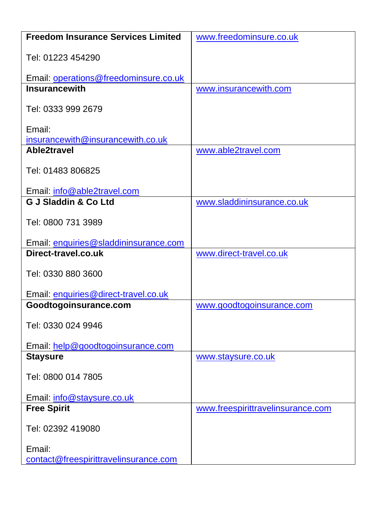| <b>Freedom Insurance Services Limited</b>       | www.freedominsure.co.uk           |  |  |
|-------------------------------------------------|-----------------------------------|--|--|
| Tel: 01223 454290                               |                                   |  |  |
| Email: operations@freedominsure.co.uk           |                                   |  |  |
| <b>Insurancewith</b>                            | www.insurancewith.com             |  |  |
| Tel: 0333 999 2679                              |                                   |  |  |
| Email:                                          |                                   |  |  |
| insurancewith@insurancewith.co.uk               |                                   |  |  |
| Able2travel                                     | www.able2travel.com               |  |  |
| Tel: 01483 806825                               |                                   |  |  |
| Email: info@able2travel.com                     |                                   |  |  |
| <b>G J Sladdin &amp; Co Ltd</b>                 | www.sladdininsurance.co.uk        |  |  |
| Tel: 0800 731 3989                              |                                   |  |  |
| Email: enquiries@sladdininsurance.com           |                                   |  |  |
| Direct-travel.co.uk                             | www.direct-travel.co.uk           |  |  |
| Tel: 0330 880 3600                              |                                   |  |  |
| Email: enquiries@direct-travel.co.uk            |                                   |  |  |
| Goodtogoinsurance.com                           | www.goodtogoinsurance.com         |  |  |
| Tel: 0330 024 9946                              |                                   |  |  |
| Email: help@goodtogoinsurance.com               |                                   |  |  |
| <b>Staysure</b>                                 | www.staysure.co.uk                |  |  |
| Tel: 0800 014 7805                              |                                   |  |  |
| Email: info@staysure.co.uk                      |                                   |  |  |
| <b>Free Spirit</b>                              | www.freespirittravelinsurance.com |  |  |
| Tel: 02392 419080                               |                                   |  |  |
| Email:<br>contact@freespirittravelinsurance.com |                                   |  |  |